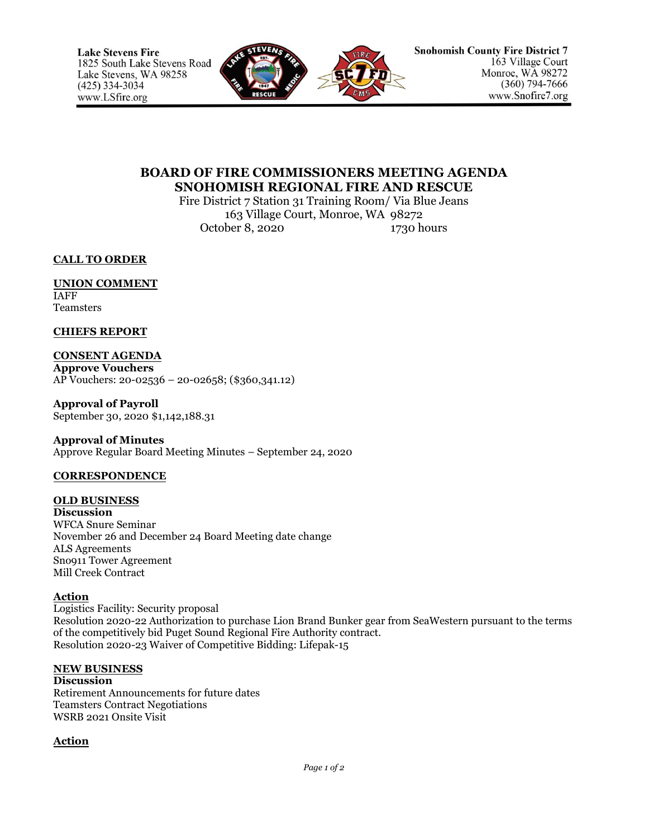

# **BOARD OF FIRE COMMISSIONERS MEETING AGENDA SNOHOMISH REGIONAL FIRE AND RESCUE**

Fire District 7 Station 31 Training Room/ Via Blue Jeans 163 Village Court, Monroe, WA 98272 October 8, 2020 1730 hours

**CALL TO ORDER**

**UNION COMMENT** IAFF

**Teamsters** 

**CHIEFS REPORT**

### **CONSENT AGENDA**

**Approve Vouchers** AP Vouchers: 20-02536 – 20-02658; (\$360,341.12)

**Approval of Payroll** September 30, 2020 \$1,142,188.31

### **Approval of Minutes**

Approve Regular Board Meeting Minutes – September 24, 2020

# **CORRESPONDENCE**

# **OLD BUSINESS**

**Discussion** WFCA Snure Seminar November 26 and December 24 Board Meeting date change ALS Agreements Sno911 Tower Agreement Mill Creek Contract

### **Action**

Logistics Facility: Security proposal Resolution 2020-22 Authorization to purchase Lion Brand Bunker gear from SeaWestern pursuant to the terms of the competitively bid Puget Sound Regional Fire Authority contract. Resolution 2020-23 Waiver of Competitive Bidding: Lifepak-15

### **NEW BUSINESS**

### **Discussion**

Retirement Announcements for future dates Teamsters Contract Negotiations WSRB 2021 Onsite Visit

# **Action**